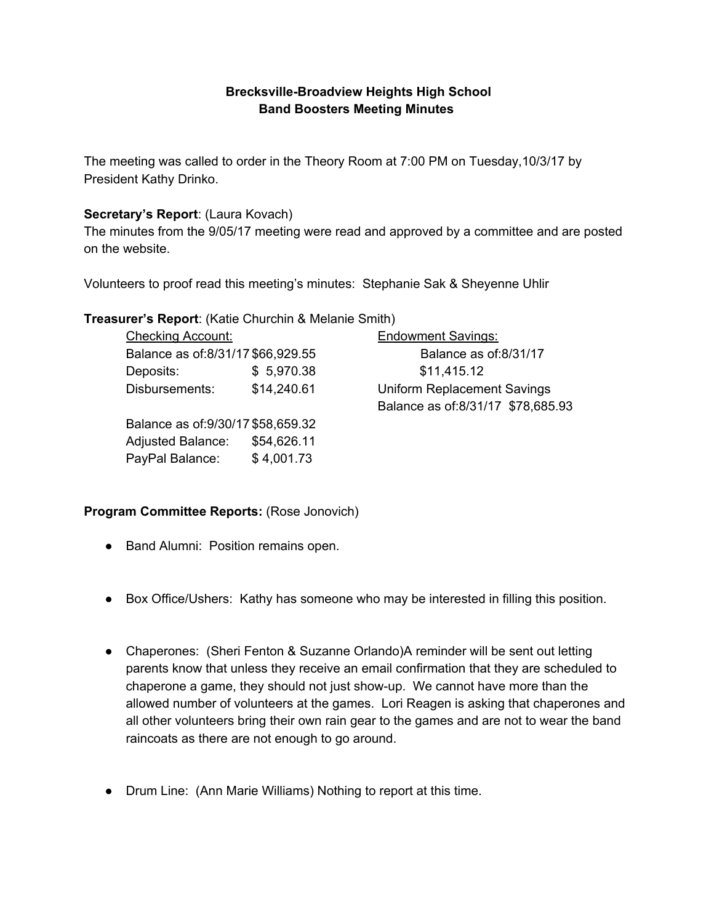# **Brecksville-Broadview Heights High School Band Boosters Meeting Minutes**

The meeting was called to order in the Theory Room at 7:00 PM on Tuesday,10/3/17 by President Kathy Drinko.

## **Secretary's Report**: (Laura Kovach)

The minutes from the 9/05/17 meeting were read and approved by a committee and are posted on the website.

Volunteers to proof read this meeting's minutes: Stephanie Sak & Sheyenne Uhlir

## **Treasurer's Report**: (Katie Churchin & Melanie Smith)

| <b>Checking Account:</b>            |             | <b>Endowment Savings:</b>          |
|-------------------------------------|-------------|------------------------------------|
| Balance as of:8/31/17 \$66,929.55   |             | Balance as of:8/31/17              |
| Deposits:                           | \$5,970.38  | \$11,415.12                        |
| Disbursements:                      | \$14,240.61 | <b>Uniform Replacement Savings</b> |
|                                     |             | Balance as of:8/31/17 \$78,685.93  |
| Balance as of: 9/30/17 \$58, 659.32 |             |                                    |
| <b>Adjusted Balance:</b>            | \$54,626.11 |                                    |
| PayPal Balance:                     | \$4,001.73  |                                    |

## **Program Committee Reports:** (Rose Jonovich)

- Band Alumni: Position remains open.
- Box Office/Ushers: Kathy has someone who may be interested in filling this position.
- Chaperones: (Sheri Fenton & Suzanne Orlando)A reminder will be sent out letting parents know that unless they receive an email confirmation that they are scheduled to chaperone a game, they should not just show-up. We cannot have more than the allowed number of volunteers at the games. Lori Reagen is asking that chaperones and all other volunteers bring their own rain gear to the games and are not to wear the band raincoats as there are not enough to go around.
- Drum Line: (Ann Marie Williams) Nothing to report at this time.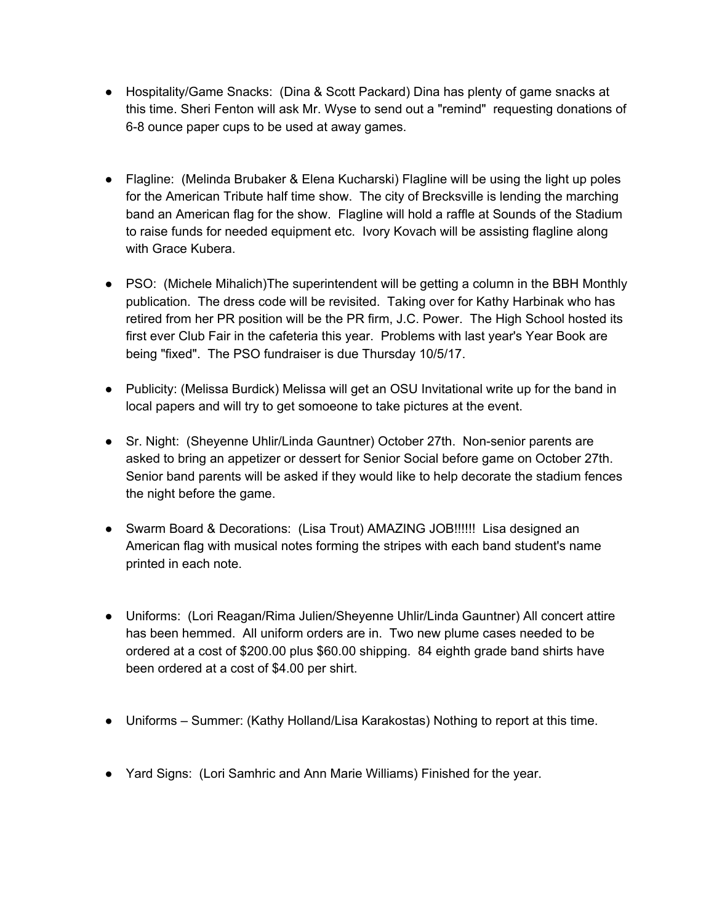- Hospitality/Game Snacks: (Dina & Scott Packard) Dina has plenty of game snacks at this time. Sheri Fenton will ask Mr. Wyse to send out a "remind" requesting donations of 6-8 ounce paper cups to be used at away games.
- Flagline: (Melinda Brubaker & Elena Kucharski) Flagline will be using the light up poles for the American Tribute half time show. The city of Brecksville is lending the marching band an American flag for the show. Flagline will hold a raffle at Sounds of the Stadium to raise funds for needed equipment etc. Ivory Kovach will be assisting flagline along with Grace Kubera.
- PSO: (Michele Mihalich)The superintendent will be getting a column in the BBH Monthly publication. The dress code will be revisited. Taking over for Kathy Harbinak who has retired from her PR position will be the PR firm, J.C. Power. The High School hosted its first ever Club Fair in the cafeteria this year. Problems with last year's Year Book are being "fixed". The PSO fundraiser is due Thursday 10/5/17.
- Publicity: (Melissa Burdick) Melissa will get an OSU Invitational write up for the band in local papers and will try to get somoeone to take pictures at the event.
- Sr. Night: (Sheyenne Uhlir/Linda Gauntner) October 27th. Non-senior parents are asked to bring an appetizer or dessert for Senior Social before game on October 27th. Senior band parents will be asked if they would like to help decorate the stadium fences the night before the game.
- Swarm Board & Decorations: (Lisa Trout) AMAZING JOB!!!!!! Lisa designed an American flag with musical notes forming the stripes with each band student's name printed in each note.
- Uniforms: (Lori Reagan/Rima Julien/Sheyenne Uhlir/Linda Gauntner) All concert attire has been hemmed. All uniform orders are in. Two new plume cases needed to be ordered at a cost of \$200.00 plus \$60.00 shipping. 84 eighth grade band shirts have been ordered at a cost of \$4.00 per shirt.
- Uniforms Summer: (Kathy Holland/Lisa Karakostas) Nothing to report at this time.
- Yard Signs: (Lori Samhric and Ann Marie Williams) Finished for the year.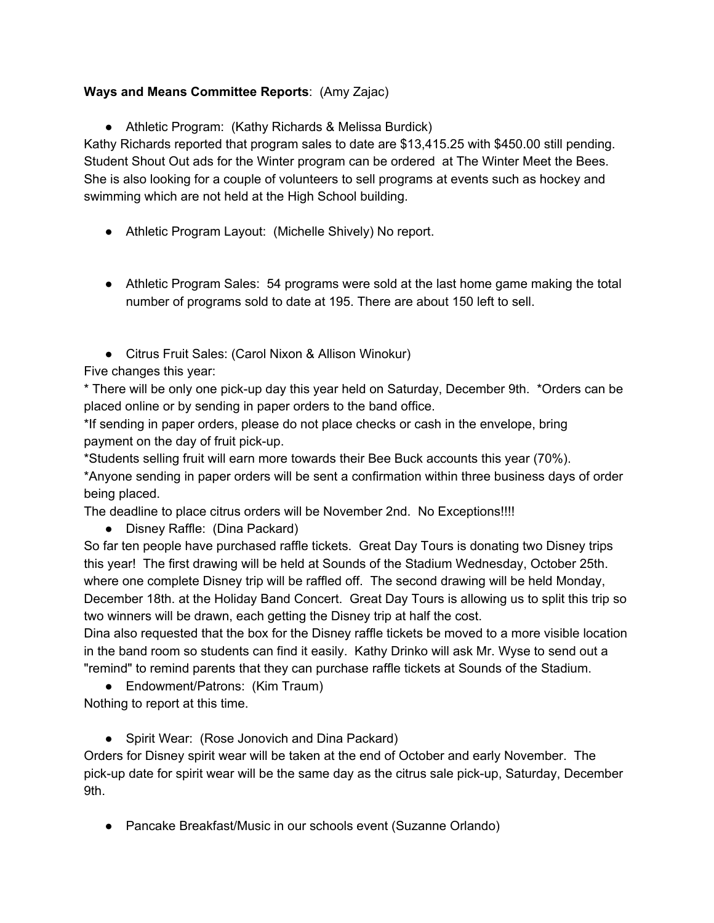## **Ways and Means Committee Reports**: (Amy Zajac)

● Athletic Program: (Kathy Richards & Melissa Burdick)

Kathy Richards reported that program sales to date are \$13,415.25 with \$450.00 still pending. Student Shout Out ads for the Winter program can be ordered at The Winter Meet the Bees. She is also looking for a couple of volunteers to sell programs at events such as hockey and swimming which are not held at the High School building.

- Athletic Program Layout: (Michelle Shively) No report.
- Athletic Program Sales: 54 programs were sold at the last home game making the total number of programs sold to date at 195. There are about 150 left to sell.
- Citrus Fruit Sales: (Carol Nixon & Allison Winokur)

Five changes this year:

\* There will be only one pick-up day this year held on Saturday, December 9th. \*Orders can be placed online or by sending in paper orders to the band office.

\*If sending in paper orders, please do not place checks or cash in the envelope, bring payment on the day of fruit pick-up.

\*Students selling fruit will earn more towards their Bee Buck accounts this year (70%). \*Anyone sending in paper orders will be sent a confirmation within three business days of order being placed.

The deadline to place citrus orders will be November 2nd. No Exceptions!!!!

• Disney Raffle: (Dina Packard)

So far ten people have purchased raffle tickets. Great Day Tours is donating two Disney trips this year! The first drawing will be held at Sounds of the Stadium Wednesday, October 25th. where one complete Disney trip will be raffled off. The second drawing will be held Monday, December 18th. at the Holiday Band Concert. Great Day Tours is allowing us to split this trip so two winners will be drawn, each getting the Disney trip at half the cost.

Dina also requested that the box for the Disney raffle tickets be moved to a more visible location in the band room so students can find it easily. Kathy Drinko will ask Mr. Wyse to send out a "remind" to remind parents that they can purchase raffle tickets at Sounds of the Stadium.

• Endowment/Patrons: (Kim Traum)

Nothing to report at this time.

• Spirit Wear: (Rose Jonovich and Dina Packard)

Orders for Disney spirit wear will be taken at the end of October and early November. The pick-up date for spirit wear will be the same day as the citrus sale pick-up, Saturday, December 9th.

● Pancake Breakfast/Music in our schools event (Suzanne Orlando)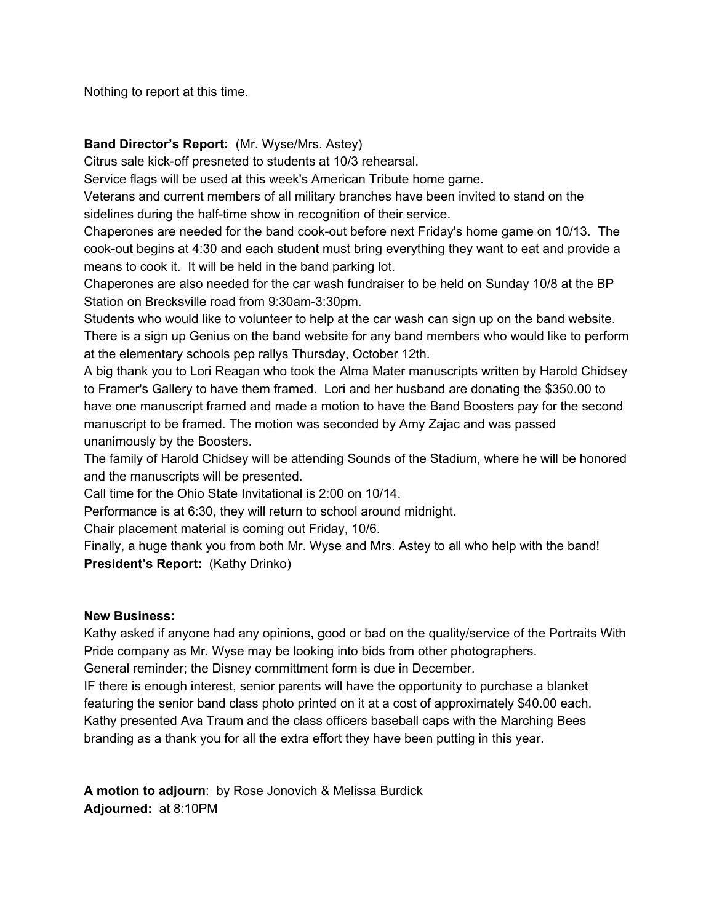Nothing to report at this time.

#### **Band Director's Report:** (Mr. Wyse/Mrs. Astey)

Citrus sale kick-off presneted to students at 10/3 rehearsal.

Service flags will be used at this week's American Tribute home game.

Veterans and current members of all military branches have been invited to stand on the sidelines during the half-time show in recognition of their service.

Chaperones are needed for the band cook-out before next Friday's home game on 10/13. The cook-out begins at 4:30 and each student must bring everything they want to eat and provide a means to cook it. It will be held in the band parking lot.

Chaperones are also needed for the car wash fundraiser to be held on Sunday 10/8 at the BP Station on Brecksville road from 9:30am-3:30pm.

Students who would like to volunteer to help at the car wash can sign up on the band website. There is a sign up Genius on the band website for any band members who would like to perform at the elementary schools pep rallys Thursday, October 12th.

A big thank you to Lori Reagan who took the Alma Mater manuscripts written by Harold Chidsey to Framer's Gallery to have them framed. Lori and her husband are donating the \$350.00 to have one manuscript framed and made a motion to have the Band Boosters pay for the second manuscript to be framed. The motion was seconded by Amy Zajac and was passed unanimously by the Boosters.

The family of Harold Chidsey will be attending Sounds of the Stadium, where he will be honored and the manuscripts will be presented.

Call time for the Ohio State Invitational is 2:00 on 10/14.

Performance is at 6:30, they will return to school around midnight.

Chair placement material is coming out Friday, 10/6.

Finally, a huge thank you from both Mr. Wyse and Mrs. Astey to all who help with the band! **President's Report:** (Kathy Drinko)

#### **New Business:**

Kathy asked if anyone had any opinions, good or bad on the quality/service of the Portraits With Pride company as Mr. Wyse may be looking into bids from other photographers. General reminder; the Disney committment form is due in December.

IF there is enough interest, senior parents will have the opportunity to purchase a blanket featuring the senior band class photo printed on it at a cost of approximately \$40.00 each. Kathy presented Ava Traum and the class officers baseball caps with the Marching Bees branding as a thank you for all the extra effort they have been putting in this year.

**A motion to adjourn**: by Rose Jonovich & Melissa Burdick **Adjourned:** at 8:10PM